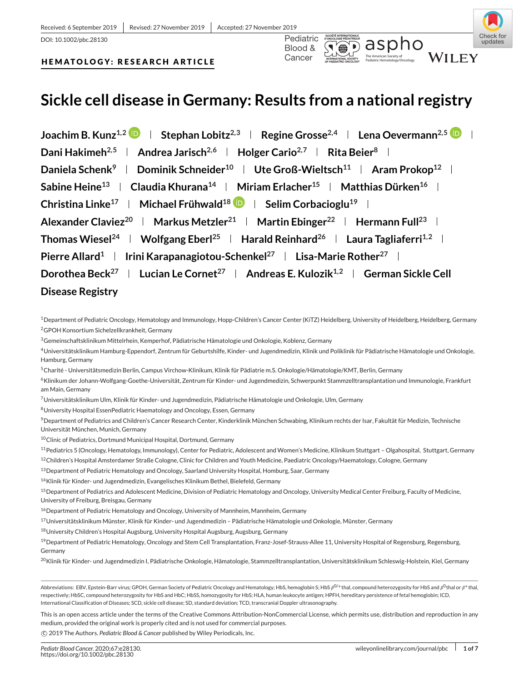



# **HEMATOLOGY: RESEARCH ARTICLE**

# **Sickle cell disease in Germany: Results from a national registry**

**Joachim B. Kunz<sup>1,2</sup>**  $\mathbf{D}$  **| Stephan Lobitz<sup>2,3</sup> | Regine Grosse<sup>2,4</sup> | Lena Oevermann<sup>2,5</sup>**  $\mathbf{D}$  **| Dani Hakimeh**<sup>2,5</sup> **Andrea Jarisch**<sup>2,6</sup> **Holger Cario**<sup>2,7</sup> **Rita Beier**<sup>8</sup> **H Daniela Schenk<sup>9</sup> <b>Dominik Schneider**<sup>10</sup> **Ute Groß-Wieltsch**<sup>11</sup> **Aram Prokop**<sup>12</sup> **and Sabine Heine<sup>13</sup> | Claudia Khurana<sup>14</sup> | Miriam Erlacher<sup>15</sup> | Matthias Dürken<sup>16</sup> | Christina Linke<sup>17</sup> | Michael Frühwald<sup>18</sup> | Selim Corbacioglu<sup>19</sup> |** Alexander Claviez<sup>20</sup> | Markus Metzler<sup>21</sup> | Martin Ebinger<sup>22</sup> | Hermann Full<sup>23</sup> | **Thomas Wiesel<sup>24</sup> <b>Wolfgang Eberl**<sup>25</sup> **Harald Reinhard**<sup>26</sup> **Laura Tagliaferri**<sup>1,2</sup> l **Pierre Allard<sup>1</sup> | Irini Karapanagiotou-Schenkel<sup>27</sup> | Lisa-Marie Rother<sup>27</sup> | Dorothea Beck**<sup>27</sup> **Lucian Le Cornet**<sup>27</sup> **Andreas E. Kulozik**<sup>1,2</sup> **German Sickle Cell Disease Registry**

<sup>1</sup>Department of Pediatric Oncology, Hematology and Immunology, Hopp-Children's Cancer Center (KiTZ) Heidelberg, University of Heidelberg, Heidelberg, Germany 2GPOH Konsortium Sichelzellkrankheit, Germany

<sup>3</sup>Gemeinschaftsklinikum Mittelrhein, Kemperhof, Pädiatrische Hämatologie und Onkologie, Koblenz, Germany

- 4Universitätsklinikum Hamburg-Eppendorf, Zentrum für Geburtshilfe, Kinder- und Jugendmedizin, Klinik und Poliklinik für Pädiatrische Hämatologie und Onkologie, Hamburg, Germany
- 5Charité Universitätsmedizin Berlin, Campus Virchow-Klinikum, Klinik für Pädiatrie m.S. Onkologie/Hämatologie/KMT, Berlin, Germany
- 6Klinikum der Johann-Wolfgang-Goethe-Universität, Zentrum für Kinder- und Jugendmedizin, Schwerpunkt Stammzelltransplantation und Immunologie, Frankfurt am Main, Germany

7Universitätsklinikum Ulm, Klinik für Kinder- und Jugendmedizin, Pädiatrische Hämatologie und Onkologie, Ulm, Germany

8University Hospital EssenPediatric Haematology and Oncology, Essen, Germany

9Department of Pediatrics and Children's Cancer Research Center, Kinderklinik München Schwabing, Klinikum rechts der Isar, Fakultät für Medizin, Technische Universität München, Munich, Germany

<sup>10</sup>Clinic of Pediatrics, Dortmund Municipal Hospital, Dortmund, Germany

11Pediatrics 5 (Oncology, Hematology, Immunology), Center for Pediatric, Adolescent and Women's Medicine, Klinikum Stuttgart – Olgahospital, Stuttgart, Germany

12Children's Hospital Amsterdamer Straße Cologne, Clinic for Children and Youth Medicine, Paediatric Oncology/Haematology, Cologne, Germany

<sup>13</sup> Department of Pediatric Hematology and Oncology, Saarland University Hospital, Homburg, Saar, Germany

14Klinik für Kinder- und Jugendmedizin, Evangelisches Klinikum Bethel, Bielefeld, Germany

<sup>15</sup> Department of Pediatrics and Adolescent Medicine, Division of Pediatric Hematology and Oncology, University Medical Center Freiburg, Faculty of Medicine, University of Freiburg, Breisgau, Germany

<sup>16</sup> Department of Pediatric Hematology and Oncology, University of Mannheim, Mannheim, Germany

17Universitätsklinikum Münster, Klinik für Kinder- und Jugendmedizin – Pädiatrische Hämatologie und Onkologie, Münster, Germany

18University Children's Hospital Augsburg, University Hospital Augsburg, Augsburg, Germany

<sup>19</sup> Department of Pediatric Hematology, Oncology and Stem Cell Transplantation, Franz-Josef-Strauss-Allee 11, University Hospital of Regensburg, Regensburg, Germany

<sup>20</sup>Klinik für Kinder- und Jugendmedizin I, Pädiatrische Onkologie, Hämatologie, Stammzelltransplantation, Universitätsklinikum Schleswig-Holstein, Kiel, Germany

Abbreviations: EBV, Epstein-Barr virus; GPOH, German Society of Pediatric Oncology and Hematology; HbS, hemoglobin S; HbS  $\rho^{0/+}$ thal, compound heterozygosity for HbS and  $\rho^{0}$ thal or  $\rho^{+}$ thal, respectively; HbSC, compound heterozygosity for HbS and HbC; HbSS, homozygosity for HbS; HLA, human leukocyte antigen; HPFH, hereditary persistence of fetal hemoglobin; ICD, International Classification of Diseases; SCD, sickle cell disease; SD, standard deviation; TCD, transcranial Doppler ultrasonography.

This is an open access article under the terms of the [Creative Commons Attribution-NonCommercial](http://creativecommons.org/licenses/by-nc/4.0/) License, which permits use, distribution and reproduction in any medium, provided the original work is properly cited and is not used for commercial purposes.

-c 2019 The Authors. *Pediatric Blood & Cancer* published by Wiley Periodicals, Inc.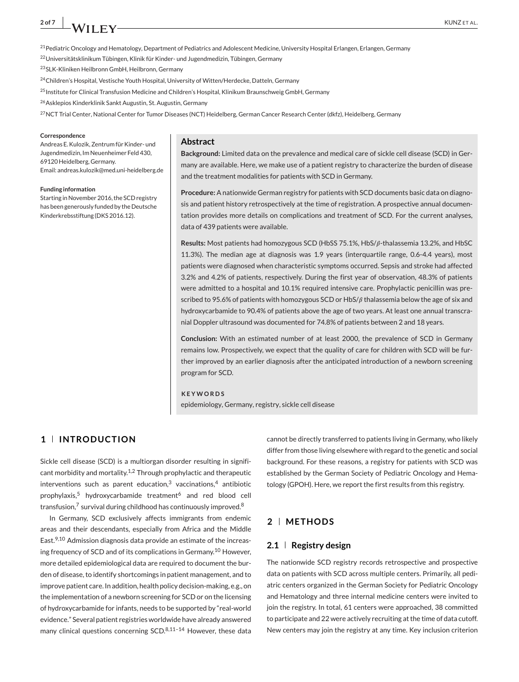# <sup>21</sup>Pediatric Oncology and Hematology, Department of Pediatrics and Adolescent Medicine, University Hospital Erlangen, Erlangen, Germany

22Universitätsklinikum Tübingen, Klinik für Kinder- und Jugendmedizin, Tübingen, Germany

23SLK-Kliniken Heilbronn GmbH, Heilbronn, Germany

<sup>24</sup>Children's Hospital, Vestische Youth Hospital, University of Witten/Herdecke, Datteln, Germany

<sup>25</sup> Institute for Clinical Transfusion Medicine and Children's Hospital, Klinikum Braunschweig GmbH, Germany

<sup>26</sup> Asklepios Kinderklinik Sankt Augustin, St. Augustin, Germany

<sup>27</sup>NCT Trial Center, National Center for Tumor Diseases (NCT) Heidelberg, German Cancer Research Center (dkfz), Heidelberg, Germany

#### **Correspondence**

Andreas E. Kulozik, Zentrum für Kinder- und Jugendmedizin, Im Neuenheimer Feld 430, 69120 Heidelberg, Germany. Email: andreas.kulozik@med.uni-heidelberg.de

#### **Funding information**

Starting in November 2016, the SCD registry has been generously funded by the Deutsche Kinderkrebsstiftung (DKS 2016.12).

# **Abstract**

**Background:** Limited data on the prevalence and medical care of sickle cell disease (SCD) in Germany are available. Here, we make use of a patient registry to characterize the burden of disease and the treatment modalities for patients with SCD in Germany.

**Procedure:** A nationwide German registry for patients with SCD documents basic data on diagnosis and patient history retrospectively at the time of registration. A prospective annual documentation provides more details on complications and treatment of SCD. For the current analyses, data of 439 patients were available.

Results: Most patients had homozygous SCD (HbSS 75.1%, HbS/ $\beta$ -thalassemia 13.2%, and HbSC 11.3%). The median age at diagnosis was 1.9 years (interquartile range, 0.6-4.4 years), most patients were diagnosed when characteristic symptoms occurred. Sepsis and stroke had affected 3.2% and 4.2% of patients, respectively. During the first year of observation, 48.3% of patients were admitted to a hospital and 10.1% required intensive care. Prophylactic penicillin was prescribed to 95.6% of patients with homozygous SCD or HbS/ $\beta$  thalassemia below the age of six and hydroxycarbamide to 90.4% of patients above the age of two years. At least one annual transcranial Doppler ultrasound was documented for 74.8% of patients between 2 and 18 years.

**Conclusion:** With an estimated number of at least 2000, the prevalence of SCD in Germany remains low. Prospectively, we expect that the quality of care for children with SCD will be further improved by an earlier diagnosis after the anticipated introduction of a newborn screening program for SCD.

#### **KEYWORDS**

epidemiology, Germany, registry, sickle cell disease

# **1 INTRODUCTION**

Sickle cell disease (SCD) is a multiorgan disorder resulting in significant morbidity and mortality.<sup>1,2</sup> Through prophylactic and therapeutic interventions such as parent education, $3$  vaccinations, $4$  antibiotic prophylaxis,<sup>5</sup> hydroxycarbamide treatment<sup>6</sup> and red blood cell transfusion, $7$  survival during childhood has continuously improved.<sup>8</sup>

In Germany, SCD exclusively affects immigrants from endemic areas and their descendants, especially from Africa and the Middle East.<sup>9,10</sup> Admission diagnosis data provide an estimate of the increasing frequency of SCD and of its complications in Germany.<sup>10</sup> However, more detailed epidemiological data are required to document the burden of disease, to identify shortcomings in patient management, and to improve patient care. In addition, health policy decision-making, e.g., on the implementation of a newborn screening for SCD or on the licensing of hydroxycarbamide for infants, needs to be supported by "real-world evidence." Several patient registries worldwide have already answered many clinical questions concerning  $SCD$ .<sup>8,11-14</sup> However, these data cannot be directly transferred to patients living in Germany, who likely differ from those living elsewhere with regard to the genetic and social background. For these reasons, a registry for patients with SCD was established by the German Society of Pediatric Oncology and Hematology (GPOH). Here, we report the first results from this registry.

# **2 METHODS**

# **2.1 Registry design**

The nationwide SCD registry records retrospective and prospective data on patients with SCD across multiple centers. Primarily, all pediatric centers organized in the German Society for Pediatric Oncology and Hematology and three internal medicine centers were invited to join the registry. In total, 61 centers were approached, 38 committed to participate and 22 were actively recruiting at the time of data cutoff. New centers may join the registry at any time. Key inclusion criterion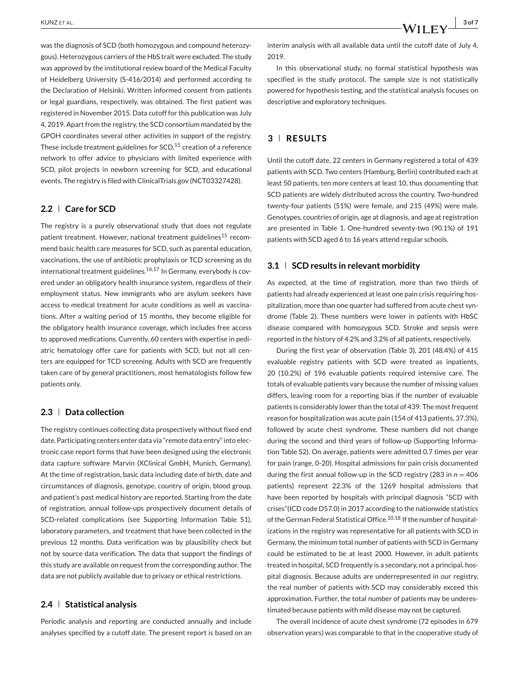was the diagnosis of SCD (both homozygous and compound heterozygous). Heterozygous carriers of the HbS trait were excluded. The study was approved by the institutional review board of the Medical Faculty of Heidelberg University (S-416/2014) and performed according to the Declaration of Helsinki. Written informed consent from patients or legal guardians, respectively, was obtained. The first patient was registered in November 2015. Data cutoff for this publication was July 4, 2019. Apart from the registry, the SCD consortium mandated by the GPOH coordinates several other activities in support of the registry. These include treatment guidelines for  $SCD<sub>1</sub><sup>15</sup>$  creation of a reference network to offer advice to physicians with limited experience with SCD, pilot projects in newborn screening for SCD, and educational events. The registry is filed with ClinicalTrials.gov (NCT03327428).

# **2.2 Care for SCD**

The registry is a purely observational study that does not regulate patient treatment. However, national treatment guidelines<sup>15</sup> recommend basic health care measures for SCD, such as parental education, vaccinations, the use of antibiotic prophylaxis or TCD screening as do international treatment guidelines.<sup>16,17</sup> In Germany, everybody is covered under an obligatory health insurance system, regardless of their employment status. New immigrants who are asylum seekers have access to medical treatment for acute conditions as well as vaccinations. After a waiting period of 15 months, they become eligible for the obligatory health insurance coverage, which includes free access to approved medications. Currently, 60 centers with expertise in pediatric hematology offer care for patients with SCD, but not all centers are equipped for TCD screening. Adults with SCD are frequently taken care of by general practitioners, most hematologists follow few patients only.

# **2.3 Data collection**

The registry continues collecting data prospectively without fixed end date. Participating centers enter data via "remote data entry" into electronic case report forms that have been designed using the electronic data capture software Marvin (XClinical GmbH, Munich, Germany). At the time of registration, basic data including date of birth, date and circumstances of diagnosis, genotype, country of origin, blood group, and patient's past medical history are reported. Starting from the date of registration, annual follow-ups prospectively document details of SCD-related complications (see Supporting Information Table S1), laboratory parameters, and treatment that have been collected in the previous 12 months. Data verification was by plausibility check but not by source data verification. The data that support the findings of this study are available on request from the corresponding author. The data are not publicly available due to privacy or ethical restrictions.

#### **2.4 Statistical analysis**

Periodic analysis and reporting are conducted annually and include analyses specified by a cutoff date. The present report is based on an interim analysis with all available data until the cutoff date of July 4, 2019.

In this observational study, no formal statistical hypothesis was specified in the study protocol. The sample size is not statistically powered for hypothesis testing, and the statistical analysis focuses on descriptive and exploratory techniques.

## **3 RESULTS**

Until the cutoff date, 22 centers in Germany registered a total of 439 patients with SCD. Two centers (Hamburg, Berlin) contributed each at least 50 patients, ten more centers at least 10, thus documenting that SCD patients are widely distributed across the country. Two-hundred twenty-four patients (51%) were female, and 215 (49%) were male. Genotypes, countries of origin, age at diagnosis, and age at registration are presented in Table 1. One-hundred seventy-two (90.1%) of 191 patients with SCD aged 6 to 16 years attend regular schools.

#### **3.1 SCD results in relevant morbidity**

As expected, at the time of registration, more than two thirds of patients had already experienced at least one pain crisis requiring hospitalization, more than one quarter had suffered from acute chest syndrome (Table 2). These numbers were lower in patients with HbSC disease compared with homozygous SCD. Stroke and sepsis were reported in the history of 4.2% and 3.2% of all patients, respectively.

During the first year of observation (Table 3), 201 (48.4%) of 415 evaluable registry patients with SCD were treated as inpatients, 20 (10.2%) of 196 evaluable patients required intensive care. The totals of evaluable patients vary because the number of missing values differs, leaving room for a reporting bias if the number of evaluable patients is considerably lower than the total of 439. The most frequent reason for hospitalization was acute pain (154 of 413 patients, 37.3%), followed by acute chest syndrome. These numbers did not change during the second and third years of follow-up (Supporting Information Table S2). On average, patients were admitted 0.7 times per year for pain (range, 0-20). Hospital admissions for pain crisis documented during the first annual follow-up in the SCD registry (283 in *n* = 406 patients) represent 22.3% of the 1269 hospital admissions that have been reported by hospitals with principal diagnosis "SCD with crises"(ICD code D57.0) in 2017 according to the nationwide statistics of the German Federal Statistical Office.<sup>10,18</sup> If the number of hospitalizations in the registry was representative for all patients with SCD in Germany, the minimum total number of patients with SCD in Germany could be estimated to be at least 2000. However, in adult patients treated in hospital, SCD frequently is a secondary, not a principal, hospital diagnosis. Because adults are underrepresented in our registry, the real number of patients with SCD may considerably exceed this approximation. Further, the total number of patients may be underestimated because patients with mild disease may not be captured.

The overall incidence of acute chest syndrome (72 episodes in 679 observation years) was comparable to that in the cooperative study of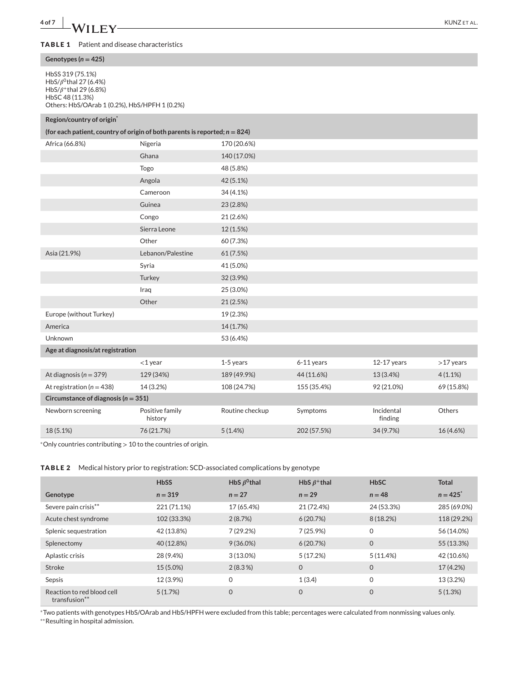#### **TABLE 1** Patient and disease characteristics

#### **Genotypes (***n* **= 425)**

HbSS 319 (75.1%) HbS/ $\beta^0$ thal 27 (6.4%)  $HbS/\beta^+$ thal 29 (6.8%) HbSC 48 (11.3%) Others: HbS/OArab 1 (0.2%), HbS/HPFH 1 (0.2%)

# **Region/country of origin\***

| Africa (66.8%)                          | Nigeria                    | 170 (20.6%)     |             |                       |             |  |  |
|-----------------------------------------|----------------------------|-----------------|-------------|-----------------------|-------------|--|--|
|                                         | Ghana                      | 140 (17.0%)     |             |                       |             |  |  |
|                                         | Togo                       | 48 (5.8%)       |             |                       |             |  |  |
|                                         | Angola                     | 42 (5.1%)       |             |                       |             |  |  |
|                                         | Cameroon                   | 34 (4.1%)       |             |                       |             |  |  |
|                                         | Guinea                     | 23 (2.8%)       |             |                       |             |  |  |
|                                         | Congo                      | 21 (2.6%)       |             |                       |             |  |  |
|                                         | Sierra Leone               | 12 (1.5%)       |             |                       |             |  |  |
|                                         | Other                      | 60 (7.3%)       |             |                       |             |  |  |
| Asia (21.9%)                            | Lebanon/Palestine          | 61 (7.5%)       |             |                       |             |  |  |
|                                         | Syria                      | 41 (5.0%)       |             |                       |             |  |  |
|                                         | Turkey                     | 32 (3.9%)       |             |                       |             |  |  |
|                                         | Iraq                       | 25 (3.0%)       |             |                       |             |  |  |
|                                         | Other                      | 21 (2.5%)       |             |                       |             |  |  |
| Europe (without Turkey)                 |                            | 19 (2.3%)       |             |                       |             |  |  |
| America                                 |                            | 14 (1.7%)       |             |                       |             |  |  |
| Unknown                                 |                            | 53 (6.4%)       |             |                       |             |  |  |
| Age at diagnosis/at registration        |                            |                 |             |                       |             |  |  |
|                                         | $<$ 1 year                 | 1-5 years       | 6-11 years  | $12-17$ years         | $>17$ years |  |  |
| At diagnosis ( $n = 379$ )              | 129 (34%)                  | 189 (49.9%)     | 44 (11.6%)  | 13 (3.4%)             | $4(1.1\%)$  |  |  |
| At registration ( $n = 438$ )           | 14 (3.2%)                  | 108 (24.7%)     | 155 (35.4%) | 92 (21.0%)            | 69 (15.8%)  |  |  |
| Circumstance of diagnosis ( $n = 351$ ) |                            |                 |             |                       |             |  |  |
| Newborn screening                       | Positive family<br>history | Routine checkup | Symptoms    | Incidental<br>finding | Others      |  |  |
| 18 (5.1%)                               | 76 (21.7%)                 | 5(1.4%)         | 202 (57.5%) | 34 (9.7%)             | 16 (4.6%)   |  |  |

<sup>∗</sup>Only countries contributing *>* 10 to the countries of origin.

#### **TABLE 2** Medical history prior to registration: SCD-associated complications by genotype

|                                                         | <b>HbSS</b> | HbS $\beta^0$ thal | HbS $\beta$ <sup>+</sup> thal | <b>HbSC</b>    | <b>Total</b> |
|---------------------------------------------------------|-------------|--------------------|-------------------------------|----------------|--------------|
| Genotype                                                | $n = 319$   | $n = 27$           | $n = 29$                      | $n = 48$       | $n = 425$    |
| Severe pain crisis**                                    | 221 (71.1%) | 17 (65.4%)         | 21 (72.4%)                    | 24 (53.3%)     | 285 (69.0%)  |
| Acute chest syndrome                                    | 102 (33.3%) | 2(8.7%)            | 6(20.7%)                      | 8 (18.2%)      | 118 (29.2%)  |
| Splenic sequestration                                   | 42 (13.8%)  | 7(29.2%)           | 7(25.9%)                      | $\mathbf 0$    | 56 (14.0%)   |
| Splenectomy                                             | 40 (12.8%)  | $9(36.0\%)$        | 6(20.7%)                      | $\mathbf 0$    | 55 (13.3%)   |
| Aplastic crisis                                         | 28 (9.4%)   | $3(13.0\%)$        | 5(17.2%)                      | 5(11.4%)       | 42 (10.6%)   |
| Stroke                                                  | 15 (5.0%)   | $2(8.3\%)$         | $\mathbf 0$                   | $\overline{0}$ | 17 (4.2%)    |
| Sepsis                                                  | 12 (3.9%)   | $\mathbf 0$        | 1(3.4)                        | $\mathbf 0$    | 13 (3.2%)    |
| Reaction to red blood cell<br>transfusion <sup>**</sup> | 5(1.7%)     | $\mathbf 0$        | $\overline{0}$                | $\overline{0}$ | 5(1.3%)      |

<sup>∗</sup>Two patients with genotypes HbS/OArab and HbS/HPFH were excluded from this table; percentages were calculated from nonmissing values only. ∗∗Resulting in hospital admission.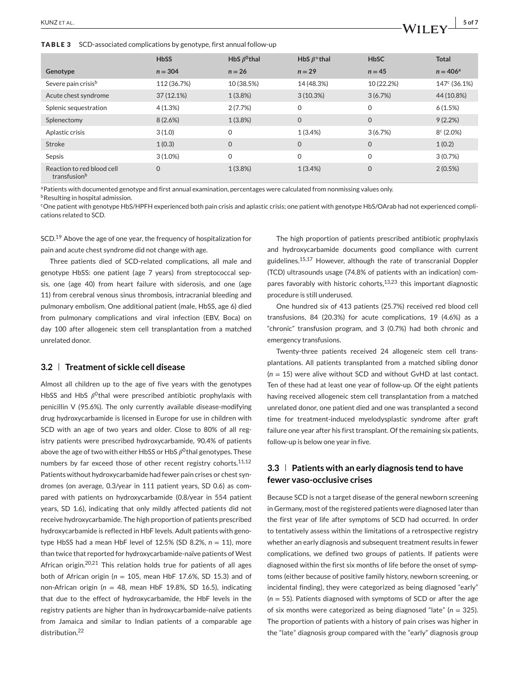**TABLE 3** SCD-associated complications by genotype, first annual follow-up

|                                            | <b>HbSS</b>  | HbS $\beta^0$ thal | HbS $\beta$ <sup>+</sup> thal | <b>HbSC</b>  | <b>Total</b>             |
|--------------------------------------------|--------------|--------------------|-------------------------------|--------------|--------------------------|
| Genotype                                   | $n = 304$    | $n = 26$           | $n = 29$                      | $n = 45$     | $n = 406^a$              |
| Severe pain crisis <sup>b</sup>            | 112 (36.7%)  | 10 (38.5%)         | 14 (48.3%)                    | 10 (22.2%)   | 147 <sup>c</sup> (36.1%) |
| Acute chest syndrome                       | $37(12.1\%)$ | 1(3.8%)            | 3(10.3%)                      | 3(6.7%)      | 44 (10.8%)               |
| Splenic sequestration                      | 4(1.3%)      | 2(7.7%)            | $\Omega$                      | 0            | 6(1.5%)                  |
| Splenectomy                                | 8(2.6%)      | 1(3.8%)            | $\mathbf{0}$                  | $\mathbf{O}$ | 9(2.2%)                  |
| Aplastic crisis                            | 3(1.0)       | 0                  | 1(3.4%                        | 3(6.7%)      | $8c$ (2.0%)              |
| Stroke                                     | 1(0.3)       | $\overline{0}$     | $\mathbf{O}$                  | $\mathbf 0$  | 1(0.2)                   |
| Sepsis                                     | $3(1.0\%)$   | 0                  | $\mathbf 0$                   | 0            | 3(0.7%)                  |
| Reaction to red blood cell<br>transfusionb | 0            | 1(3.8%)            | 1(3.4%)                       | $\mathbf 0$  | $2(0.5\%)$               |

a Patients with documented genotype and first annual examination, percentages were calculated from nonmissing values only.

**b**Resulting in hospital admission.

cOne patient with genotype HbS/HPFH experienced both pain crisis and aplastic crisis; one patient with genotype HbS/OArab had not experienced complications related to SCD.

SCD.<sup>19</sup> Above the age of one year, the frequency of hospitalization for pain and acute chest syndrome did not change with age.

Three patients died of SCD-related complications, all male and genotype HbSS: one patient (age 7 years) from streptococcal sepsis, one (age 40) from heart failure with siderosis, and one (age 11) from cerebral venous sinus thrombosis, intracranial bleeding and pulmonary embolism. One additional patient (male, HbSS, age 6) died from pulmonary complications and viral infection (EBV, Boca) on day 100 after allogeneic stem cell transplantation from a matched unrelated donor.

#### **3.2 Treatment of sickle cell disease**

Almost all children up to the age of five years with the genotypes HbSS and HbS  $\beta^0$ thal were prescribed antibiotic prophylaxis with penicillin V (95.6%). The only currently available disease-modifying drug hydroxycarbamide is licensed in Europe for use in children with SCD with an age of two years and older. Close to 80% of all registry patients were prescribed hydroxycarbamide, 90.4% of patients above the age of two with either HbSS or HbS  $\beta^0$ thal genotypes. These numbers by far exceed those of other recent registry cohorts. $11,12$ Patients without hydroxycarbamide had fewer pain crises or chest syndromes (on average, 0.3/year in 111 patient years, SD 0.6) as compared with patients on hydroxycarbamide (0.8/year in 554 patient years, SD 1.6), indicating that only mildly affected patients did not receive hydroxycarbamide. The high proportion of patients prescribed hydroxycarbamide is reflected in HbF levels. Adult patients with genotype HbSS had a mean HbF level of 12.5% (SD 8.2%, *n* = 11), more than twice that reported for hydroxycarbamide-naïve patients of West African origin.<sup>20,21</sup> This relation holds true for patients of all ages both of African origin (*n* = 105, mean HbF 17.6%, SD 15.3) and of non-African origin (*n* = 48, mean HbF 19.8%, SD 16.5), indicating that due to the effect of hydroxycarbamide, the HbF levels in the registry patients are higher than in hydroxycarbamide-naïve patients from Jamaica and similar to Indian patients of a comparable age distribution.<sup>22</sup>

The high proportion of patients prescribed antibiotic prophylaxis and hydroxycarbamide documents good compliance with current guidelines.15,17 However, although the rate of transcranial Doppler (TCD) ultrasounds usage (74.8% of patients with an indication) compares favorably with historic cohorts, $13,23$  this important diagnostic procedure is still underused.

One hundred six of 413 patients (25.7%) received red blood cell transfusions, 84 (20.3%) for acute complications, 19 (4.6%) as a "chronic" transfusion program, and 3 (0.7%) had both chronic and emergency transfusions.

Twenty-three patients received 24 allogeneic stem cell transplantations. All patients transplanted from a matched sibling donor (*n* = 15) were alive without SCD and without GvHD at last contact. Ten of these had at least one year of follow-up. Of the eight patients having received allogeneic stem cell transplantation from a matched unrelated donor, one patient died and one was transplanted a second time for treatment-induced myelodysplastic syndrome after graft failure one year after his first transplant. Of the remaining six patients, follow-up is below one year in five.

# **3.3 Patients with an early diagnosis tend to have fewer vaso-occlusive crises**

Because SCD is not a target disease of the general newborn screening in Germany, most of the registered patients were diagnosed later than the first year of life after symptoms of SCD had occurred. In order to tentatively assess within the limitations of a retrospective registry whether an early diagnosis and subsequent treatment results in fewer complications, we defined two groups of patients. If patients were diagnosed within the first six months of life before the onset of symptoms (either because of positive family history, newborn screening, or incidental finding), they were categorized as being diagnosed "early" (*n* = 55). Patients diagnosed with symptoms of SCD or after the age of six months were categorized as being diagnosed "late" (*n* = 325). The proportion of patients with a history of pain crises was higher in the "late" diagnosis group compared with the "early" diagnosis group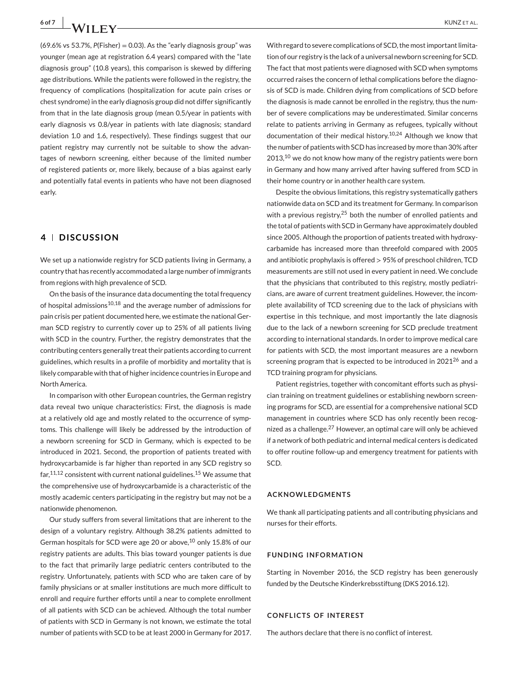$(69.6\% \text{ vs } 53.7\% \text{ P(Fisher)} = 0.03)$ . As the "early diagnosis group" was younger (mean age at registration 6.4 years) compared with the "late diagnosis group" (10.8 years), this comparison is skewed by differing age distributions. While the patients were followed in the registry, the frequency of complications (hospitalization for acute pain crises or chest syndrome) in the early diagnosis group did not differ significantly from that in the late diagnosis group (mean 0.5/year in patients with early diagnosis vs 0.8/year in patients with late diagnosis; standard deviation 1.0 and 1.6, respectively). These findings suggest that our patient registry may currently not be suitable to show the advantages of newborn screening, either because of the limited number of registered patients or, more likely, because of a bias against early and potentially fatal events in patients who have not been diagnosed early.

# **4 DISCUSSION**

We set up a nationwide registry for SCD patients living in Germany, a country that has recently accommodated a large number of immigrants from regions with high prevalence of SCD.

On the basis of the insurance data documenting the total frequency of hospital admissions<sup>10,18</sup> and the average number of admissions for pain crisis per patient documented here, we estimate the national German SCD registry to currently cover up to 25% of all patients living with SCD in the country. Further, the registry demonstrates that the contributing centers generally treat their patients according to current guidelines, which results in a profile of morbidity and mortality that is likely comparable with that of higher incidence countries in Europe and North America.

In comparison with other European countries, the German registry data reveal two unique characteristics: First, the diagnosis is made at a relatively old age and mostly related to the occurrence of symptoms. This challenge will likely be addressed by the introduction of a newborn screening for SCD in Germany, which is expected to be introduced in 2021. Second, the proportion of patients treated with hydroxycarbamide is far higher than reported in any SCD registry so  $far, <sup>11,12</sup>$  consistent with current national guidelines.<sup>15</sup> We assume that the comprehensive use of hydroxycarbamide is a characteristic of the mostly academic centers participating in the registry but may not be a nationwide phenomenon.

Our study suffers from several limitations that are inherent to the design of a voluntary registry. Although 38.2% patients admitted to German hospitals for SCD were age 20 or above, $10$  only 15.8% of our registry patients are adults. This bias toward younger patients is due to the fact that primarily large pediatric centers contributed to the registry. Unfortunately, patients with SCD who are taken care of by family physicians or at smaller institutions are much more difficult to enroll and require further efforts until a near to complete enrollment of all patients with SCD can be achieved. Although the total number of patients with SCD in Germany is not known, we estimate the total number of patients with SCD to be at least 2000 in Germany for 2017.

With regard to severe complications of SCD, the most important limitation of our registry is the lack of a universal newborn screening for SCD. The fact that most patients were diagnosed with SCD when symptoms occurred raises the concern of lethal complications before the diagnosis of SCD is made. Children dying from complications of SCD before the diagnosis is made cannot be enrolled in the registry, thus the number of severe complications may be underestimated. Similar concerns relate to patients arriving in Germany as refugees, typically without documentation of their medical history.10,24 Although we know that the number of patients with SCD has increased by more than 30% after  $2013$ ,<sup>10</sup> we do not know how many of the registry patients were born in Germany and how many arrived after having suffered from SCD in their home country or in another health care system.

Despite the obvious limitations, this registry systematically gathers nationwide data on SCD and its treatment for Germany. In comparison with a previous registry,<sup>25</sup> both the number of enrolled patients and the total of patients with SCD in Germany have approximately doubled since 2005. Although the proportion of patients treated with hydroxycarbamide has increased more than threefold compared with 2005 and antibiotic prophylaxis is offered *>* 95% of preschool children, TCD measurements are still not used in every patient in need. We conclude that the physicians that contributed to this registry, mostly pediatricians, are aware of current treatment guidelines. However, the incomplete availability of TCD screening due to the lack of physicians with expertise in this technique, and most importantly the late diagnosis due to the lack of a newborn screening for SCD preclude treatment according to international standards. In order to improve medical care for patients with SCD, the most important measures are a newborn screening program that is expected to be introduced in 2021<sup>26</sup> and a TCD training program for physicians.

Patient registries, together with concomitant efforts such as physician training on treatment guidelines or establishing newborn screening programs for SCD, are essential for a comprehensive national SCD management in countries where SCD has only recently been recognized as a challenge.<sup>27</sup> However, an optimal care will only be achieved if a network of both pediatric and internal medical centers is dedicated to offer routine follow-up and emergency treatment for patients with SCD.

#### **ACKNOWLEDGMENTS**

We thank all participating patients and all contributing physicians and nurses for their efforts.

#### **FUNDING INFORMATION**

Starting in November 2016, the SCD registry has been generously funded by the Deutsche Kinderkrebsstiftung (DKS 2016.12).

#### **CONFLICTS OF INTEREST**

The authors declare that there is no conflict of interest.